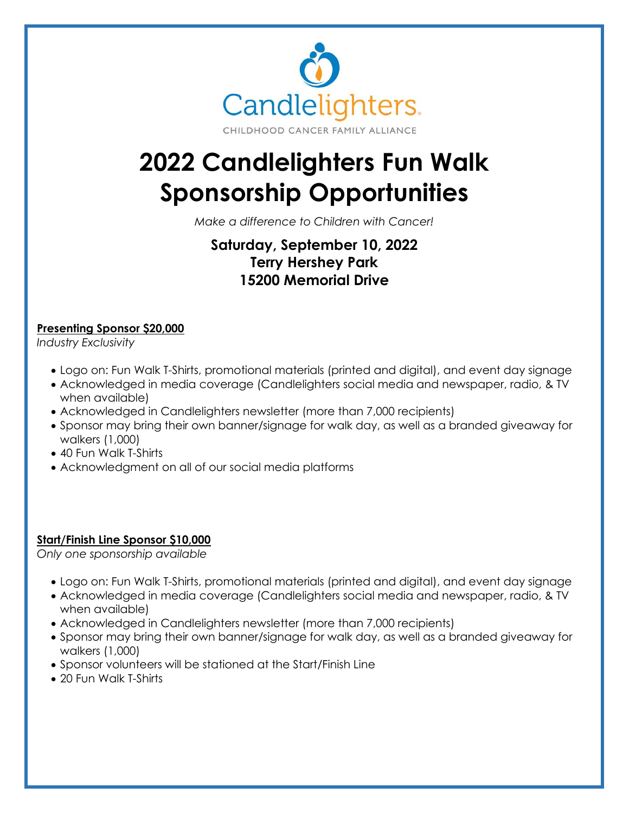

# **2022 Candlelighters Fun Walk Sponsorship Opportunities**

*Make a difference to Children with Cancer!*

# **Saturday, September 10, 2022 Terry Hershey Park 15200 Memorial Drive**

### **Presenting Sponsor \$20,000**

*Industry Exclusivity*

- Logo on: Fun Walk T-Shirts, promotional materials (printed and digital), and event day signage
- Acknowledged in media coverage (Candlelighters social media and newspaper, radio, & TV when available)
- Acknowledged in Candlelighters newsletter (more than 7,000 recipients)
- Sponsor may bring their own banner/signage for walk day, as well as a branded giveaway for walkers (1,000)
- 40 Fun Walk T-Shirts
- Acknowledgment on all of our social media platforms

#### **Start/Finish Line Sponsor \$10,000**

*Only one sponsorship available*

- Logo on: Fun Walk T-Shirts, promotional materials (printed and digital), and event day signage
- Acknowledged in media coverage (Candlelighters social media and newspaper, radio, & TV when available)
- Acknowledged in Candlelighters newsletter (more than 7,000 recipients)
- Sponsor may bring their own banner/signage for walk day, as well as a branded giveaway for walkers (1,000)
- Sponsor volunteers will be stationed at the Start/Finish Line
- 20 Fun Walk T-Shirts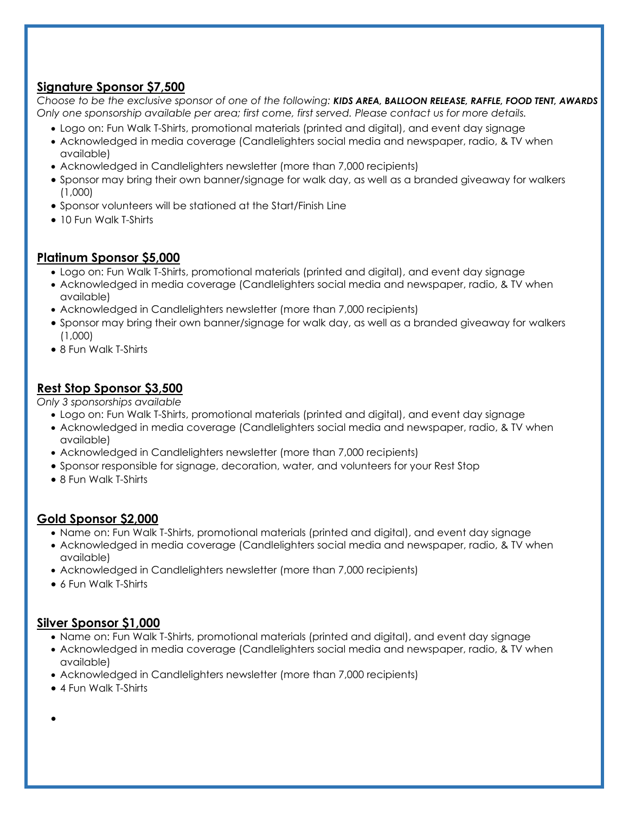## **Signature Sponsor \$7,500**

*Choose to be the exclusive sponsor of one of the following: KIDS AREA, BALLOON RELEASE, RAFFLE, FOOD TENT, AWARDS Only one sponsorship available per area; first come, first served. Please contact us for more details.*

- Logo on: Fun Walk T-Shirts, promotional materials (printed and digital), and event day signage
- Acknowledged in media coverage (Candlelighters social media and newspaper, radio, & TV when available)
- Acknowledged in Candlelighters newsletter (more than 7,000 recipients)
- Sponsor may bring their own banner/signage for walk day, as well as a branded giveaway for walkers (1,000)
- Sponsor volunteers will be stationed at the Start/Finish Line
- 10 Fun Walk T-Shirts

#### **Platinum Sponsor \$5,000**

- Logo on: Fun Walk T-Shirts, promotional materials (printed and digital), and event day signage
- Acknowledged in media coverage (Candlelighters social media and newspaper, radio, & TV when available)
- Acknowledged in Candlelighters newsletter (more than 7,000 recipients)
- Sponsor may bring their own banner/signage for walk day, as well as a branded giveaway for walkers (1,000)
- 8 Fun Walk T-Shirts

# **Rest Stop Sponsor \$3,500**

*Only 3 sponsorships available*

- Logo on: Fun Walk T-Shirts, promotional materials (printed and digital), and event day signage
- Acknowledged in media coverage (Candlelighters social media and newspaper, radio, & TV when available)
- Acknowledged in Candlelighters newsletter (more than 7,000 recipients)
- Sponsor responsible for signage, decoration, water, and volunteers for your Rest Stop
- 8 Fun Walk T-Shirts

#### **Gold Sponsor \$2,000**

- Name on: Fun Walk T-Shirts, promotional materials (printed and digital), and event day signage
- Acknowledged in media coverage (Candlelighters social media and newspaper, radio, & TV when available)
- Acknowledged in Candlelighters newsletter (more than 7,000 recipients)
- 6 Fun Walk T-Shirts

#### **Silver Sponsor \$1,000**

- Name on: Fun Walk T-Shirts, promotional materials (printed and digital), and event day signage
- Acknowledged in media coverage (Candlelighters social media and newspaper, radio, & TV when available)
- Acknowledged in Candlelighters newsletter (more than 7,000 recipients)
- 4 Fun Walk T-Shirts
- •